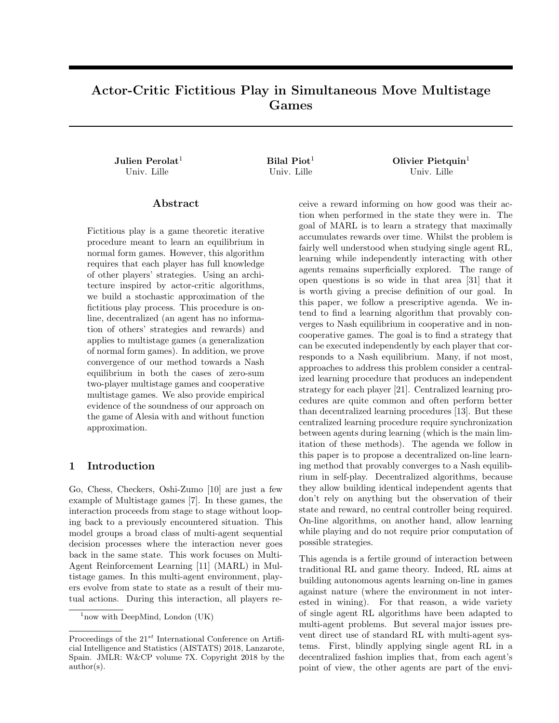# Actor-Critic Fictitious Play in Simultaneous Move Multistage Games

Julien Perolat<sup>1</sup>  $Bilal Piot<sup>1</sup>$  Olivier Pietquin<sup>1</sup> Univ. Lille Univ. Lille Univ. Lille

#### Abstract

Fictitious play is a game theoretic iterative procedure meant to learn an equilibrium in normal form games. However, this algorithm requires that each player has full knowledge of other players' strategies. Using an architecture inspired by actor-critic algorithms, we build a stochastic approximation of the fictitious play process. This procedure is online, decentralized (an agent has no information of others' strategies and rewards) and applies to multistage games (a generalization of normal form games). In addition, we prove convergence of our method towards a Nash equilibrium in both the cases of zero-sum two-player multistage games and cooperative multistage games. We also provide empirical evidence of the soundness of our approach on the game of Alesia with and without function approximation.

### 1 Introduction

Go, Chess, Checkers, Oshi-Zumo [10] are just a few example of Multistage games [7]. In these games, the interaction proceeds from stage to stage without looping back to a previously encountered situation. This model groups a broad class of multi-agent sequential decision processes where the interaction never goes back in the same state. This work focuses on Multi-Agent Reinforcement Learning [11] (MARL) in Multistage games. In this multi-agent environment, players evolve from state to state as a result of their mutual actions. During this interaction, all players re-

ceive a reward informing on how good was their action when performed in the state they were in. The goal of MARL is to learn a strategy that maximally accumulates rewards over time. Whilst the problem is fairly well understood when studying single agent RL, learning while independently interacting with other agents remains superficially explored. The range of open questions is so wide in that area [31] that it is worth giving a precise definition of our goal. In this paper, we follow a prescriptive agenda. We intend to find a learning algorithm that provably converges to Nash equilibrium in cooperative and in noncooperative games. The goal is to find a strategy that can be executed independently by each player that corresponds to a Nash equilibrium. Many, if not most, approaches to address this problem consider a centralized learning procedure that produces an independent strategy for each player [21]. Centralized learning procedures are quite common and often perform better than decentralized learning procedures [13]. But these centralized learning procedure require synchronization between agents during learning (which is the main limitation of these methods). The agenda we follow in this paper is to propose a decentralized on-line learning method that provably converges to a Nash equilibrium in self-play. Decentralized algorithms, because they allow building identical independent agents that don't rely on anything but the observation of their state and reward, no central controller being required. On-line algorithms, on another hand, allow learning while playing and do not require prior computation of possible strategies.

This agenda is a fertile ground of interaction between traditional RL and game theory. Indeed, RL aims at building autonomous agents learning on-line in games against nature (where the environment in not interested in wining). For that reason, a wide variety of single agent RL algorithms have been adapted to multi-agent problems. But several major issues prevent direct use of standard RL with multi-agent systems. First, blindly applying single agent RL in a decentralized fashion implies that, from each agent's point of view, the other agents are part of the envi-

 $1$ now with DeepMind, London (UK)

Proceedings of the  $21^{st}$  International Conference on Artificial Intelligence and Statistics (AISTATS) 2018, Lanzarote, Spain. JMLR: W&CP volume 7X. Copyright 2018 by the author(s).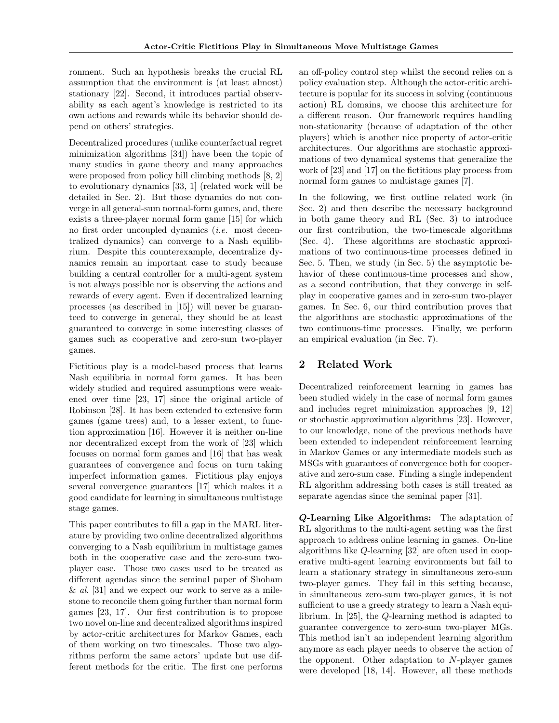ronment. Such an hypothesis breaks the crucial RL assumption that the environment is (at least almost) stationary [22]. Second, it introduces partial observability as each agent's knowledge is restricted to its own actions and rewards while its behavior should depend on others' strategies.

Decentralized procedures (unlike counterfactual regret minimization algorithms [34]) have been the topic of many studies in game theory and many approaches were proposed from policy hill climbing methods [8, 2] to evolutionary dynamics [33, 1] (related work will be detailed in Sec. 2). But those dynamics do not converge in all general-sum normal-form games, and, there exists a three-player normal form game [15] for which no first order uncoupled dynamics (i.e. most decentralized dynamics) can converge to a Nash equilibrium. Despite this counterexample, decentralize dynamics remain an important case to study because building a central controller for a multi-agent system is not always possible nor is observing the actions and rewards of every agent. Even if decentralized learning processes (as described in [15]) will never be guaranteed to converge in general, they should be at least guaranteed to converge in some interesting classes of games such as cooperative and zero-sum two-player games.

Fictitious play is a model-based process that learns Nash equilibria in normal form games. It has been widely studied and required assumptions were weakened over time [23, 17] since the original article of Robinson [28]. It has been extended to extensive form games (game trees) and, to a lesser extent, to function approximation [16]. However it is neither on-line nor decentralized except from the work of [23] which focuses on normal form games and [16] that has weak guarantees of convergence and focus on turn taking imperfect information games. Fictitious play enjoys several convergence guarantees [17] which makes it a good candidate for learning in simultaneous multistage stage games.

This paper contributes to fill a gap in the MARL literature by providing two online decentralized algorithms converging to a Nash equilibrium in multistage games both in the cooperative case and the zero-sum twoplayer case. Those two cases used to be treated as different agendas since the seminal paper of Shoham  $\&$  al. [31] and we expect our work to serve as a milestone to reconcile them going further than normal form games [23, 17]. Our first contribution is to propose two novel on-line and decentralized algorithms inspired by actor-critic architectures for Markov Games, each of them working on two timescales. Those two algorithms perform the same actors' update but use different methods for the critic. The first one performs

an off-policy control step whilst the second relies on a policy evaluation step. Although the actor-critic architecture is popular for its success in solving (continuous action) RL domains, we choose this architecture for a different reason. Our framework requires handling non-stationarity (because of adaptation of the other players) which is another nice property of actor-critic architectures. Our algorithms are stochastic approximations of two dynamical systems that generalize the work of [23] and [17] on the fictitious play process from normal form games to multistage games [7].

In the following, we first outline related work (in Sec. 2) and then describe the necessary background in both game theory and RL (Sec. 3) to introduce our first contribution, the two-timescale algorithms (Sec. 4). These algorithms are stochastic approximations of two continuous-time processes defined in Sec. 5. Then, we study (in Sec. 5) the asymptotic behavior of these continuous-time processes and show, as a second contribution, that they converge in selfplay in cooperative games and in zero-sum two-player games. In Sec. 6, our third contribution proves that the algorithms are stochastic approximations of the two continuous-time processes. Finally, we perform an empirical evaluation (in Sec. 7).

# 2 Related Work

Decentralized reinforcement learning in games has been studied widely in the case of normal form games and includes regret minimization approaches [9, 12] or stochastic approximation algorithms [23]. However, to our knowledge, none of the previous methods have been extended to independent reinforcement learning in Markov Games or any intermediate models such as MSGs with guarantees of convergence both for cooperative and zero-sum case. Finding a single independent RL algorithm addressing both cases is still treated as separate agendas since the seminal paper [31].

Q-Learning Like Algorithms: The adaptation of RL algorithms to the multi-agent setting was the first approach to address online learning in games. On-line algorithms like Q-learning [32] are often used in cooperative multi-agent learning environments but fail to learn a stationary strategy in simultaneous zero-sum two-player games. They fail in this setting because, in simultaneous zero-sum two-player games, it is not sufficient to use a greedy strategy to learn a Nash equilibrium. In [25], the Q-learning method is adapted to guarantee convergence to zero-sum two-player MGs. This method isn't an independent learning algorithm anymore as each player needs to observe the action of the opponent. Other adaptation to N-player games were developed [18, 14]. However, all these methods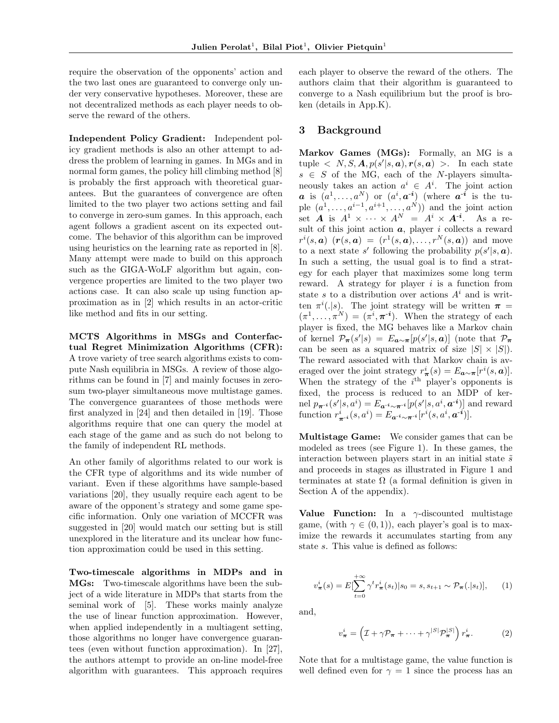require the observation of the opponents' action and the two last ones are guaranteed to converge only under very conservative hypotheses. Moreover, these are not decentralized methods as each player needs to observe the reward of the others.

Independent Policy Gradient: Independent policy gradient methods is also an other attempt to address the problem of learning in games. In MGs and in normal form games, the policy hill climbing method  $[8]$ is probably the first approach with theoretical guarantees. But the guarantees of convergence are often limited to the two player two actions setting and fail to converge in zero-sum games. In this approach, each agent follows a gradient ascent on its expected outcome. The behavior of this algorithm can be improved using heuristics on the learning rate as reported in [8]. Many attempt were made to build on this approach such as the GIGA-WoLF algorithm but again, convergence properties are limited to the two player two actions case. It can also scale up using function approximation as in [2] which results in an actor-critic like method and fits in our setting.

MCTS Algorithms in MSGs and Conterfactual Regret Minimization Algorithms (CFR): A trove variety of tree search algorithms exists to compute Nash equilibria in MSGs. A review of those algorithms can be found in [7] and mainly focuses in zerosum two-player simultaneous move multistage games. The convergence guarantees of those methods were first analyzed in [24] and then detailed in [19]. Those algorithms require that one can query the model at each stage of the game and as such do not belong to the family of independent RL methods.

An other family of algorithms related to our work is the CFR type of algorithms and its wide number of variant. Even if these algorithms have sample-based variations [20], they usually require each agent to be aware of the opponent's strategy and some game specific information. Only one variation of MCCFR was suggested in [20] would match our setting but is still unexplored in the literature and its unclear how function approximation could be used in this setting.

Two-timescale algorithms in MDPs and in MGs: Two-timescale algorithms have been the subject of a wide literature in MDPs that starts from the seminal work of [5]. These works mainly analyze the use of linear function approximation. However, when applied independently in a multiagent setting, those algorithms no longer have convergence guarantees (even without function approximation). In [27], the authors attempt to provide an on-line model-free algorithm with guarantees. This approach requires each player to observe the reward of the others. The authors claim that their algorithm is guaranteed to converge to a Nash equilibrium but the proof is broken (details in App.K).

#### 3 Background

Markov Games (MGs): Formally, an MG is a tuple  $\langle N, S, A, p(s' | s, a), r(s, a) \rangle$ . In each state  $s \in S$  of the MG, each of the N-players simultaneously takes an action  $a^i \in A^i$ . The joint action **a** is  $(a^1, \ldots, a^N)$  or  $(a^i, a^{-i})$  (where  $a^{-i}$  is the tuple  $(a^1, \ldots, a^{i-1}, a^{i+1}, \ldots, a^N)$  and the joint action set **A** is  $A^1 \times \cdots \times A^N = A^i \times A^{-i}$ . As a result of this joint action  $a$ , player i collects a reward  $r^i(s, a)$   $(r(s, a) = (r^1(s, a), \ldots, r^N(s, a))$  and move to a next state s' following the probability  $p(s'|s, a)$ . In such a setting, the usual goal is to find a strategy for each player that maximizes some long term reward. A strategy for player  $i$  is a function from state s to a distribution over actions  $A^i$  and is written  $\pi^{i}(.|s)$ . The joint strategy will be written  $\pi =$  $(\pi^1, \ldots, \pi^N) = (\pi^i, \pi^{-i}).$  When the strategy of each player is fixed, the MG behaves like a Markov chain of kernel  $\mathcal{P}_{\pi}(s'|s) = E_{\boldsymbol{a}\sim\pi}[p(s'|s,\boldsymbol{a})]$  (note that  $\mathcal{P}_{\pi}$ can be seen as a squared matrix of size  $|S| \times |S|$ . The reward associated with that Markov chain is averaged over the joint strategy  $r^i_{\pi}(s) = E_{\mathbf{a} \sim \pi}[r^i(s, \mathbf{a})]$ . When the strategy of the  $i<sup>th</sup>$  player's opponents is fixed, the process is reduced to an MDP of kernel  $p_{\pi^{-i}}(s' | s, a^i) = E_{a^{-i} \sim \pi^{-i}}[p(s' | s, a^i, a^{-i})]$  and reward function  $r_{\pi^{-i}}^i(s, a^i) = E_{a^{-i} \sim \pi^{-i}}[r^i(s, a^i, a^{-i})].$ 

Multistage Game: We consider games that can be modeled as trees (see Figure 1). In these games, the interaction between players start in an initial state  $\tilde{s}$ and proceeds in stages as illustrated in Figure 1 and terminates at state  $\Omega$  (a formal definition is given in Section A of the appendix).

Value Function: In a  $\gamma$ -discounted multistage game, (with  $\gamma \in (0,1)$ ), each player's goal is to maximize the rewards it accumulates starting from any state s. This value is defined as follows:

$$
v_{\pi}^{i}(s) = E[\sum_{t=0}^{+\infty} \gamma^{t} r_{\pi}^{i}(s_{t})|s_{0}=s, s_{t+1} \sim \mathcal{P}_{\pi}(.|s_{t})], \qquad (1)
$$

and,

$$
v_{\boldsymbol{\pi}}^i = \left(\mathcal{I} + \gamma \mathcal{P}_{\boldsymbol{\pi}} + \dots + \gamma^{|S|} \mathcal{P}_{\boldsymbol{\pi}}^{|S|}\right) r_{\boldsymbol{\pi}}^i.
$$
 (2)

Note that for a multistage game, the value function is well defined even for  $\gamma = 1$  since the process has an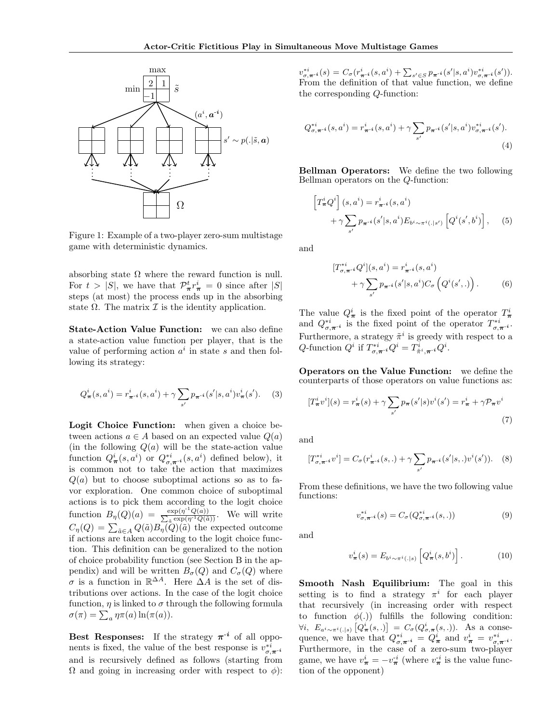

Figure 1: Example of a two-player zero-sum multistage game with deterministic dynamics.

absorbing state  $\Omega$  where the reward function is null. For  $t > |S|$ , we have that  $\mathcal{P}^t_{\pi} r^i_{\pi} = 0$  since after  $|S|$ steps (at most) the process ends up in the absorbing state  $\Omega$ . The matrix  $\mathcal I$  is the identity application.

State-Action Value Function: we can also define a state-action value function per player, that is the value of performing action  $a^i$  in state s and then following its strategy:

$$
Q_{\pi}^{i}(s, a^{i}) = r_{\pi^{-i}}^{i}(s, a^{i}) + \gamma \sum_{s'} p_{\pi^{-i}}(s'|s, a^{i}) v_{\pi}^{i}(s'). \quad (3)
$$

Logit Choice Function: when given a choice between actions  $a \in A$  based on an expected value  $Q(a)$ (in the following  $Q(a)$  will be the state-action value function  $Q^i_{\pi}(s, a^i)$  or  $Q^{*i}_{\sigma, \pi^{-i}}(s, a^i)$  defined below), it is common not to take the action that maximizes  $Q(a)$  but to choose suboptimal actions so as to favor exploration. One common choice of suboptimal actions is to pick them according to the logit choice function  $B_{\eta}(Q)(a) = \frac{\exp(\eta^{-1}Q(a))}{\sum_{\tilde{a}} \exp(\eta^{-1}Q(\tilde{a}))}$  $\frac{\exp(\eta^{\text{-}}Q(a))}{\exp(\eta^{\text{-}1}Q(\tilde{a}))}$ . We will write  $C_{\eta}(Q) = \sum_{\tilde{a} \in A} Q(\tilde{a}) B_{\eta}(Q)(\tilde{a})$  the expected outcome if actions are taken according to the logit choice function. This definition can be generalized to the notion of choice probability function (see Section B in the appendix) and will be written  $B_{\sigma}(Q)$  and  $C_{\sigma}(Q)$  where  $\sigma$  is a function in  $\mathbb{R}^{\Delta A}$ . Here  $\Delta A$  is the set of distributions over actions. In the case of the logit choice function,  $\eta$  is linked to  $\sigma$  through the following formula  $\sigma(\pi) = \sum_a \eta \pi(a) \ln(\pi(a)).$ 

Best Responses: If the strategy  $\pi^{-i}$  of all opponents is fixed, the value of the best response is  $v_{\sigma,\pi}^{*i}$ . and is recursively defined as follows (starting from  $Ω$  and going in increasing order with respect to  $φ$ ):

 $v_{\sigma,\pi^{-i}}^{*i}(s) = C_{\sigma}(r_{\pi^{-i}}^i(s, a^i) + \sum_{s' \in S} p_{\pi^{-i}}(s'|s, a^i) v_{\sigma,\pi^{-i}}^{*i}(s')).$ From the definition of that value function, we define the corresponding Q-function:

$$
Q_{\sigma,\pi^{-i}}^{*i}(s,a^i) = r_{\pi^{-i}}^i(s,a^i) + \gamma \sum_{s'} p_{\pi^{-i}}(s'|s,a^i) v_{\sigma,\pi^{-i}}^{*i}(s').
$$
\n(4)

Bellman Operators: We define the two following Bellman operators on the Q-function:

$$
\begin{aligned} \left[T_{\pi}^{i}Q^{i}\right](s,a^{i}) &= r_{\pi^{-i}}^{i}(s,a^{i})\\ &+ \gamma \sum_{s'} p_{\pi^{-i}}(s'|s,a^{i}) E_{b^{i} \sim \pi^{i}(\cdot|s')} \left[Q^{i}(s',b^{i})\right],\end{aligned} \tag{5}
$$

and

$$
[T_{\sigma,\pi^{-i}}^{*i}Q^{i}](s,a^{i}) = r_{\pi^{-i}}^{i}(s,a^{i}) + \gamma \sum_{s'} p_{\pi^{-i}}(s'|s,a^{i}) C_{\sigma}\left(Q^{i}(s',.)\right).
$$
 (6)

The value  $Q^i_{\pi}$  is the fixed point of the operator  $T^i_{\pi}$ <br>and  $Q^{*i}_{\sigma,\pi^{-i}}$  is the fixed point of the operator  $T^{*i}_{\sigma,\pi^{-i}}$ . Furthermore, a strategy  $\tilde{\pi}^i$  is greedy with respect to a Q-function  $Q^i$  if  $T^{*i}_{\sigma,\pi^{-i}}Q^i = T^i_{\tilde{\pi}^i,\pi^{-i}}Q^i$ .

Operators on the Value Function: we define the counterparts of those operators on value functions as:

$$
[T^i_{\pi}v^i](s) = r^i_{\pi}(s) + \gamma \sum_{s'} p_{\pi}(s'|s)v^i(s') = r^i_{\pi} + \gamma \mathcal{P}_{\pi}v^i
$$
\n(7)

and

$$
[T_{\sigma,\pi^{-i}}^{*i}v^{i}] = C_{\sigma}(r_{\pi^{-i}}^{i}(s,.) + \gamma \sum_{s'} p_{\pi^{-i}}(s'|s,.)v^{i}(s')). \quad (8)
$$

From these definitions, we have the two following value functions:

$$
v_{\sigma,\pi^{-i}}^{*i}(s) = C_{\sigma}(Q_{\sigma,\pi^{-i}}^{*i}(s,.))
$$
\n(9)

and

$$
v^i_{\boldsymbol{\pi}}(s) = E_{b^i \sim \pi^i(.|s)} \left[ Q^i_{\boldsymbol{\pi}}(s, b^i) \right]. \tag{10}
$$

Smooth Nash Equilibrium: The goal in this setting is to find a strategy  $\pi^i$  for each player that recursively (in increasing order with respect to function  $\phi(.)$  fulfills the following condition:  $\forall i, E_{a^i \sim \pi^i(.|s)} [Q^i_{\pi}(s,.)] = C_{\sigma}(Q^i_{\sigma,\pi}(s,.)).$  As a consequence, we have that  $Q_{\sigma,\pi^{-i}}^{*i} = Q_{\pi}^i$  and  $v_{\pi}^i = v_{\sigma,\pi^{-i}}^{*i}$ . Furthermore, in the case of a zero-sum two-player game, we have  $v^i_{\pi} = -v^{i}_{\pi}$  (where  $v^{i}_{\pi}$  is the value function of the opponent)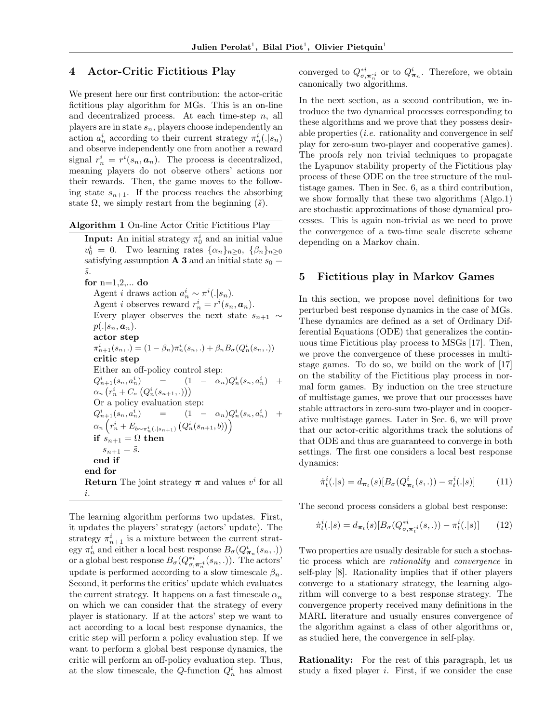#### 4 Actor-Critic Fictitious Play

We present here our first contribution: the actor-critic fictitious play algorithm for MGs. This is an on-line and decentralized process. At each time-step  $n$ , all players are in state  $s_n$ , players choose independently an action  $a_n^i$  according to their current strategy  $\pi_n^i(.|s_n)$ and observe independently one from another a reward signal  $r_n^i = r^i(s_n, \mathbf{a}_n)$ . The process is decentralized, meaning players do not observe others' actions nor their rewards. Then, the game moves to the following state  $s_{n+1}$ . If the process reaches the absorbing state  $\Omega$ , we simply restart from the beginning  $(\tilde{s})$ .

Algorithm 1 On-line Actor Critic Fictitious Play **Input:** An initial strategy  $\pi_0^i$  and an initial value  $v_0^i = 0$ . Two learning rates  $\{\alpha_n\}_{n \geq 0}$ ,  $\{\beta_n\}_{n \geq 0}$ satisfying assumption **A 3** and an initial state  $s_0 =$  $\tilde{s}$ . for  $n=1,2,...$  do Agent *i* draws action  $a_n^i \sim \pi^i(.|s_n)$ . Agent *i* observes reward  $r_n^i = r^i(s_n, \mathbf{a}_n)$ . Every player observes the next state  $s_{n+1} \sim$  $p(.|s_n, a_n).$ actor step  $\pi_{n+1}^i(s_n,.) = (1 - \beta_n)\pi_n^i(s_n,.) + \beta_n B_{\sigma}(Q_n^i(s_n,.))$ critic step Either an off-policy control step:  $Q_{n+1}^i(s_n,a_r^i$  $\binom{i}{n}$  =  $(1 - \alpha_n) Q_n^i(s_n, a_n^i) +$  $\alpha_n\left(r_n^i+C_\sigma\left(Q_n^i(s_{n+1},.)\right)\right)$ Or a policy evaluation step:  $Q_{n+1}^i(s_n,a_r^i$  $\binom{i}{n}$  =  $(1 - \alpha_n) Q_n^i(s_n, a_n^i) +$  $\alpha_n\left(r_n^i+E_{b\sim\pi_n^i(.|s_{n+1})}\left(Q_n^i(s_{n+1},b)\right)\right)$ if  $s_{n+1} = \Omega$  then  $s_{n+1} = \tilde{s}.$ end if end for **Return** The joint strategy  $\pi$  and values  $v^i$  for all i.

The learning algorithm performs two updates. First, it updates the players' strategy (actors' update). The strategy  $\pi_{n+1}^i$  is a mixture between the current strategy $\pi^i_n$  and either a local best response  $B_\sigma(Q^i_{\boldsymbol{\pi}_n}(s_n,.))$ or a global best response  $B_{\sigma}(Q_{\sigma,\pi_n^{-i}}^{*i}(s_n,.))$ . The actors' update is performed according to a slow timescale  $\beta_n$ . Second, it performs the critics' update which evaluates the current strategy. It happens on a fast timescale  $\alpha_n$ on which we can consider that the strategy of every player is stationary. If at the actors' step we want to act according to a local best response dynamics, the critic step will perform a policy evaluation step. If we want to perform a global best response dynamics, the critic will perform an off-policy evaluation step. Thus, at the slow timescale, the Q-function  $Q_n^i$  has almost

converged to  $Q^{*i}_{\sigma,\pi^{*i}_{n}}$  or to  $Q^{i}_{\pi_{n}}$ . Therefore, we obtain canonically two algorithms.

In the next section, as a second contribution, we introduce the two dynamical processes corresponding to these algorithms and we prove that they possess desirable properties (i.e. rationality and convergence in self play for zero-sum two-player and cooperative games). The proofs rely non trivial techniques to propagate the Lyapunov stability property of the Fictitious play process of these ODE on the tree structure of the multistage games. Then in Sec. 6, as a third contribution, we show formally that these two algorithms (Algo.1) are stochastic approximations of those dynamical processes. This is again non-trivial as we need to prove the convergence of a two-time scale discrete scheme depending on a Markov chain.

#### 5 Fictitious play in Markov Games

In this section, we propose novel definitions for two perturbed best response dynamics in the case of MGs. These dynamics are defined as a set of Ordinary Differential Equations (ODE) that generalizes the continuous time Fictitious play process to MSGs [17]. Then, we prove the convergence of these processes in multistage games. To do so, we build on the work of [17] on the stability of the Fictitious play process in normal form games. By induction on the tree structure of multistage games, we prove that our processes have stable attractors in zero-sum two-player and in cooperative multistage games. Later in Sec. 6, we will prove that our actor-critic algorithms track the solutions of that ODE and thus are guaranteed to converge in both settings. The first one considers a local best response dynamics:

$$
\dot{\pi}_t^i(.|s) = d_{\pi_t}(s)[B_{\sigma}(Q_{\pi_t}^i(s,.)) - \pi_t^i(.|s)] \tag{11}
$$

The second process considers a global best response:

$$
\dot{\pi}_t^i(.|s) = d_{\boldsymbol{\pi}_t}(s)[B_{\sigma}(Q_{\sigma,\boldsymbol{\pi}_t^i}^{*i}(s,.)) - \pi_t^i(.|s)] \qquad (12)
$$

Two properties are usually desirable for such a stochastic process which are rationality and convergence in self-play [8]. Rationality implies that if other players converge to a stationary strategy, the learning algorithm will converge to a best response strategy. The convergence property received many definitions in the MARL literature and usually ensures convergence of the algorithm against a class of other algorithms or, as studied here, the convergence in self-play.

Rationality: For the rest of this paragraph, let us study a fixed player i. First, if we consider the case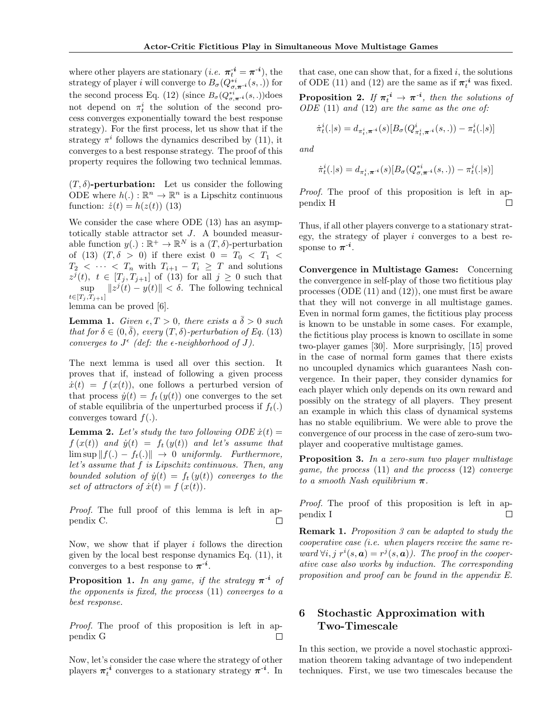where other players are stationary  $(i.e. \pi_t^{-i} = \pi^{-i})$ , the strategy of player *i* will converge to  $B_{\sigma}(Q_{\sigma,\pi^{-i}}^{*i}(s,.))$  for the second process Eq. (12) (since  $B_{\sigma}(Q_{\sigma,\pi^{-i}}^{*i}(s,.))$ does not depend on  $\pi_t^i$  the solution of the second process converges exponentially toward the best response strategy). For the first process, let us show that if the strategy  $\pi^{i}$  follows the dynamics described by (11), it converges to a best response strategy. The proof of this property requires the following two technical lemmas.

 $(T, \delta)$ -perturbation: Let us consider the following ODE where  $h(.) : \mathbb{R}^n \to \mathbb{R}^n$  is a Lipschitz continuous function:  $\dot{z}(t) = h(z(t))$  (13)

We consider the case where ODE (13) has an asymptotically stable attractor set J. A bounded measurable function  $y(.) : \mathbb{R}^+ \to \mathbb{R}^N$  is a  $(T, \delta)$ -perturbation of (13)  $(T, \delta > 0)$  if there exist  $0 = T_0 < T_1 <$  $T_2 < \cdots < T_n$  with  $T_{i+1} - T_i \geq T$  and solutions  $z^{j}(t), t \in [T_{j}, T_{j+1}]$  of (13) for all  $j \geq 0$  such that sup  $||z^{j}(t) - y(t)|| < \delta$ . The following technical  $t \in [T_j, T_{j+1}]$ 

lemma can be proved [6].

**Lemma 1.** Given  $\epsilon, T > 0$ , there exists a  $\delta > 0$  such that for  $\delta \in (0, \bar{\delta})$ , every  $(T, \delta)$ -perturbation of Eq. (13) converges to  $J^{\epsilon}$  (def: the  $\epsilon$ -neighborhood of J).

The next lemma is used all over this section. It proves that if, instead of following a given process  $\dot{x}(t) = f(x(t))$ , one follows a perturbed version of that process  $\dot{y}(t) = f_t(y(t))$  one converges to the set of stable equilibria of the unperturbed process if  $f_t(.)$ converges toward  $f(.)$ .

**Lemma 2.** Let's study the two following ODE  $\dot{x}(t) =$  $f(x(t))$  and  $\dot{y}(t) = f_t(y(t))$  and let's assume that  $\limsup ||f(.) - f_t(.)|| \rightarrow 0$  uniformly. Furthermore, let's assume that f is Lipschitz continuous. Then, any bounded solution of  $\dot{y}(t) = f_t(y(t))$  converges to the set of attractors of  $\dot{x}(t) = f(x(t)).$ 

Proof. The full proof of this lemma is left in appendix C.  $\Box$ 

Now, we show that if player  $i$  follows the direction given by the local best response dynamics Eq. (11), it converges to a best response to  $\pi^{-i}$ .

**Proposition 1.** In any game, if the strategy  $\pi^{-i}$  of the opponents is fixed, the process (11) converges to a best response.

Proof. The proof of this proposition is left in appendix G  $\Box$ 

Now, let's consider the case where the strategy of other players  $\pi_t^{-i}$  converges to a stationary strategy  $\pi^{-i}$ . In

that case, one can show that, for a fixed  $i$ , the solutions of ODE (11) and (12) are the same as if  $\pi_t^{-i}$  was fixed.

**Proposition 2.** If  $\pi_t^{-i} \to \pi^{-i}$ , then the solutions of  $ODE (11)$  and  $(12)$  are the same as the one of:

$$
\dot{\pi}_t^i(.|s) = d_{\pi_t^i, \pi^{-i}}(s) [B_{\sigma}(Q^i_{\pi_t^i, \pi^{-i}}(s,.)) - \pi_t^i(.|s)]
$$

and

$$
\dot{\pi}_t^i(.|s) = d_{\pi_t^i, \boldsymbol{\pi}^{-i}}(s)[B_{\sigma}(Q_{\sigma, \boldsymbol{\pi}^{-i}}^{*i}(s,.)) - \pi_t^i(.|s)]
$$

Proof. The proof of this proposition is left in appendix H П

Thus, if all other players converge to a stationary strategy, the strategy of player  $i$  converges to a best response to  $\pi^{-i}$ .

Convergence in Multistage Games: Concerning the convergence in self-play of those two fictitious play processes (ODE (11) and (12)), one must first be aware that they will not converge in all multistage games. Even in normal form games, the fictitious play process is known to be unstable in some cases. For example, the fictitious play process is known to oscillate in some two-player games [30]. More surprisingly, [15] proved in the case of normal form games that there exists no uncoupled dynamics which guarantees Nash convergence. In their paper, they consider dynamics for each player which only depends on its own reward and possibly on the strategy of all players. They present an example in which this class of dynamical systems has no stable equilibrium. We were able to prove the convergence of our process in the case of zero-sum twoplayer and cooperative multistage games.

Proposition 3. In a zero-sum two player multistage game, the process (11) and the process (12) converge to a smooth Nash equilibrium  $\pi$ .

Proof. The proof of this proposition is left in appendix I  $\Box$ 

Remark 1. Proposition 3 can be adapted to study the cooperative case (i.e. when players receive the same reward  $\forall i, j \; r^i(s, a) = r^j(s, a)$ . The proof in the cooperative case also works by induction. The corresponding proposition and proof can be found in the appendix E.

# 6 Stochastic Approximation with Two-Timescale

In this section, we provide a novel stochastic approximation theorem taking advantage of two independent techniques. First, we use two timescales because the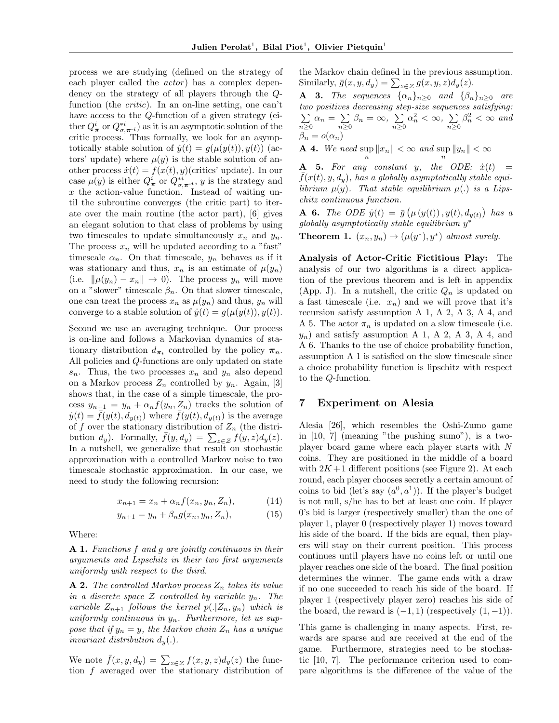process we are studying (defined on the strategy of each player called the *actor*) has a complex dependency on the strategy of all players through the Qfunction (the critic). In an on-line setting, one can't have access to the Q-function of a given strategy (either  $Q^i_{\boldsymbol{\pi}}$  or  $Q^{*i}_{\sigma,\boldsymbol{\pi}^{-i}}$ ) as it is an asymptotic solution of the critic process. Thus formally, we look for an asymptotically stable solution of  $\dot{y}(t) = g(\mu(y(t)), y(t))$  (actors' update) where  $\mu(y)$  is the stable solution of another process  $\dot{x}(t) = f(x(t), y)$ (critics' update). In our case  $\mu(y)$  is either  $Q^i_{\boldsymbol{\pi}}$  or  $Q^{*i}_{\boldsymbol{\sigma}, \boldsymbol{\pi}^{-i}}$ , y is the strategy and  $x$  the action-value function. Instead of waiting until the subroutine converges (the critic part) to iterate over the main routine (the actor part), [6] gives an elegant solution to that class of problems by using two timescales to update simultaneously  $x_n$  and  $y_n$ . The process  $x_n$  will be updated according to a "fast" timescale  $\alpha_n$ . On that timescale,  $y_n$  behaves as if it was stationary and thus,  $x_n$  is an estimate of  $\mu(y_n)$ (i.e.  $\|\mu(y_n) - x_n\| \to 0$ ). The process  $y_n$  will move on a "slower" timescale  $\beta_n$ . On that slower timescale, one can treat the process  $x_n$  as  $\mu(y_n)$  and thus,  $y_n$  will converge to a stable solution of  $\dot{y}(t) = g(\mu(y(t)), y(t)).$ 

Second we use an averaging technique. Our process is on-line and follows a Markovian dynamics of stationary distribution  $d_{\pi_t}$  controlled by the policy  $\pi_n$ . All policies and Q-functions are only updated on state  $s_n$ . Thus, the two processes  $x_n$  and  $y_n$  also depend on a Markov process  $Z_n$  controlled by  $y_n$ . Again, [3] shows that, in the case of a simple timescale, the process  $y_{n+1} = y_n + \alpha_n f(y_n, Z_n)$  tracks the solution of  $\dot{y}(t) = \bar{f}(y(t), d_{y(t)})$  where  $\bar{f}(y(t), d_{y(t)})$  is the average of f over the stationary distribution of  $Z_n$  (the distribution  $d_y$ ). Formally,  $\bar{f}(y, d_y) = \sum_{z \in \mathcal{Z}} f(y, z) d_y(z)$ . In a nutshell, we generalize that result on stochastic approximation with a controlled Markov noise to two timescale stochastic approximation. In our case, we need to study the following recursion:

$$
x_{n+1} = x_n + \alpha_n f(x_n, y_n, Z_n), \tag{14}
$$

$$
y_{n+1} = y_n + \beta_n g(x_n, y_n, Z_n), \tag{15}
$$

Where:

A 1. Functions f and g are jointly continuous in their arguments and Lipschitz in their two first arguments uniformly with respect to the third.

**A 2.** The controlled Markov process  $Z_n$  takes its value in a discrete space  $\mathcal Z$  controlled by variable  $y_n$ . The variable  $Z_{n+1}$  follows the kernel  $p(.|Z_n, y_n)$  which is uniformly continuous in  $y_n$ . Furthermore, let us suppose that if  $y_n = y$ , the Markov chain  $Z_n$  has a unique invariant distribution  $d_u(.)$ .

We note  $\bar{f}(x, y, d_y) = \sum_{z \in \mathcal{Z}} f(x, y, z) d_y(z)$  the function f averaged over the stationary distribution of the Markov chain defined in the previous assumption. Similarly,  $\bar{g}(x, y, d_y) = \sum_{z \in \mathcal{Z}} g(x, y, z) d_y(z)$ .

**A** 3. The sequences  $\{\alpha_n\}_{n\geq 0}$  and  $\{\beta_n\}_{n\geq 0}$  are two positives decreasing step-size sequences satisfying:  $\sum$  $\sum_{n\geq 0} \alpha_n = \sum_{n\geq 0}$  $\sum_{n\geq 0}\beta_n=\infty,~\sum_{n\geq 0}$  $n\geq 0$  $\alpha_n^2 < \infty$ ,  $\sum$  $n\geq 0$  $\beta_n^2 < \infty$  and  $\beta_n = o(\alpha_n)$ 

**A** 4. We need  $\sup_{n} ||x_n|| < \infty$  and  $\sup_{n} ||y_n|| < \infty$ 

A 5. For any constant y, the ODE:  $\dot{x}(t)$  =  $f(x(t), y, d<sub>u</sub>)$ , has a globally asymptotically stable equilibrium  $\mu(y)$ . That stable equilibrium  $\mu(.)$  is a Lipschitz continuous function.

**A** 6. The ODE  $\dot{y}(t) = \bar{g}(\mu(y(t)), y(t), d_{y(t)})$  has a  $g$ lobally asymptotically stable equilibrium  $y^*$ 

**Theorem 1.**  $(x_n, y_n) \rightarrow (\mu(y^*), y^*)$  almost surely.

Analysis of Actor-Critic Fictitious Play: The analysis of our two algorithms is a direct application of the previous theorem and is left in appendix (App. J). In a nutshell, the critic  $Q_n$  is updated on a fast timescale (i.e.  $x_n$ ) and we will prove that it's recursion satisfy assumption A 1, A 2, A 3, A 4, and A 5. The actor  $\pi_n$  is updated on a slow timescale (i.e.  $y_n$ ) and satisfy assumption A 1, A 2, A 3, A 4, and A 6. Thanks to the use of choice probability function, assumption A 1 is satisfied on the slow timescale since a choice probability function is lipschitz with respect to the Q-function.

#### 7 Experiment on Alesia

Alesia [26], which resembles the Oshi-Zumo game in [10, 7] (meaning "the pushing sumo"), is a twoplayer board game where each player starts with N coins. They are positioned in the middle of a board with  $2K+1$  different positions (see Figure 2). At each round, each player chooses secretly a certain amount of coins to bid (let's say  $(a^0, a^1)$ ). If the player's budget is not null, s/he has to bet at least one coin. If player 0's bid is larger (respectively smaller) than the one of player 1, player 0 (respectively player 1) moves toward his side of the board. If the bids are equal, then players will stay on their current position. This process continues until players have no coins left or until one player reaches one side of the board. The final position determines the winner. The game ends with a draw if no one succeeded to reach his side of the board. If player 1 (respectively player zero) reaches his side of the board, the reward is  $(-1, 1)$  (respectively  $(1, -1)$ ).

This game is challenging in many aspects. First, rewards are sparse and are received at the end of the game. Furthermore, strategies need to be stochastic [10, 7]. The performance criterion used to compare algorithms is the difference of the value of the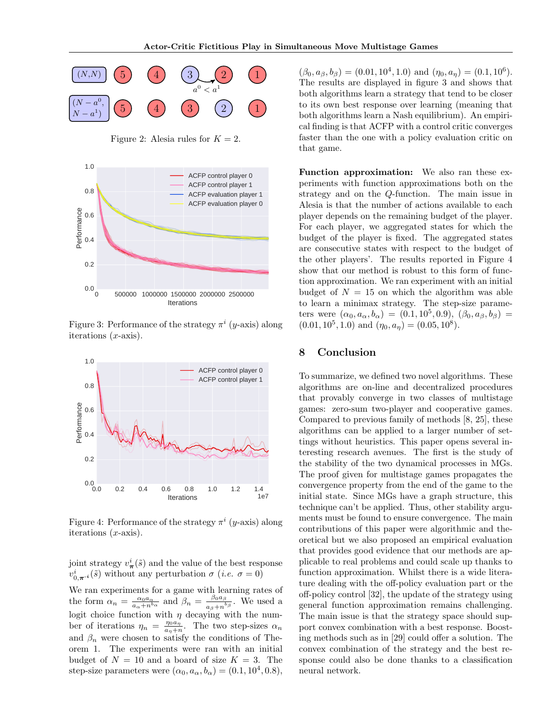

Figure 2: Alesia rules for  $K = 2$ .



Figure 3: Performance of the strategy  $\pi^{i}$  (*y*-axis) along iterations  $(x\text{-axis})$ .



Figure 4: Performance of the strategy  $\pi^{i}$  (*y*-axis) along iterations  $(x\text{-axis})$ .

joint strategy  $v^i_{\pi}(\tilde{s})$  and the value of the best response  $v^i_{0,\pi^{-i}}(\tilde{s})$  without any perturbation  $\sigma$  (*i.e.*  $\sigma = 0$ )

We ran experiments for a game with learning rates of the form  $\alpha_n = \frac{\alpha_0 a_\alpha}{a_\alpha + n^{b_\alpha}}$  and  $\beta_n = \frac{\beta_0 a_\beta}{a_\beta + n^b}$  $\frac{\rho_0 a_\beta}{a_\beta + n^{b_\beta}}$ . We used a logit choice function with  $\eta$  decaying with the number of iterations  $\eta_n = \frac{\eta_0 a_n^2}{a_n + r}$  $rac{\eta_0 a_\eta}{a_\eta + n}$ . The two step-sizes  $\alpha_n$ and  $\beta_n$  were chosen to satisfy the conditions of Theorem 1. The experiments were ran with an initial budget of  $N = 10$  and a board of size  $K = 3$ . The step-size parameters were  $(\alpha_0, a_\alpha, b_\alpha) = (0.1, 10^4, 0.8),$ 

 $(\beta_0, a_\beta, b_\beta) = (0.01, 10^4, 1.0)$  and  $(\eta_0, a_\eta) = (0.1, 10^6)$ . The results are displayed in figure 3 and shows that both algorithms learn a strategy that tend to be closer to its own best response over learning (meaning that both algorithms learn a Nash equilibrium). An empirical finding is that ACFP with a control critic converges faster than the one with a policy evaluation critic on that game.

Function approximation: We also ran these experiments with function approximations both on the strategy and on the Q-function. The main issue in Alesia is that the number of actions available to each player depends on the remaining budget of the player. For each player, we aggregated states for which the budget of the player is fixed. The aggregated states are consecutive states with respect to the budget of the other players'. The results reported in Figure 4 show that our method is robust to this form of function approximation. We ran experiment with an initial budget of  $N = 15$  on which the algorithm was able to learn a minimax strategy. The step-size parameters were  $(\alpha_0, a_\alpha, b_\alpha) = (0.1, 10^5, 0.9), (\beta_0, a_\beta, b_\beta) =$  $(0.01, 10^5, 1.0)$  and  $(\eta_0, a_\eta) = (0.05, 10^8)$ .

### 8 Conclusion

To summarize, we defined two novel algorithms. These algorithms are on-line and decentralized procedures that provably converge in two classes of multistage games: zero-sum two-player and cooperative games. Compared to previous family of methods [8, 25], these algorithms can be applied to a larger number of settings without heuristics. This paper opens several interesting research avenues. The first is the study of the stability of the two dynamical processes in MGs. The proof given for multistage games propagates the convergence property from the end of the game to the initial state. Since MGs have a graph structure, this technique can't be applied. Thus, other stability arguments must be found to ensure convergence. The main contributions of this paper were algorithmic and theoretical but we also proposed an empirical evaluation that provides good evidence that our methods are applicable to real problems and could scale up thanks to function approximation. Whilst there is a wide literature dealing with the off-policy evaluation part or the off-policy control [32], the update of the strategy using general function approximation remains challenging. The main issue is that the strategy space should support convex combination with a best response. Boosting methods such as in [29] could offer a solution. The convex combination of the strategy and the best response could also be done thanks to a classification neural network.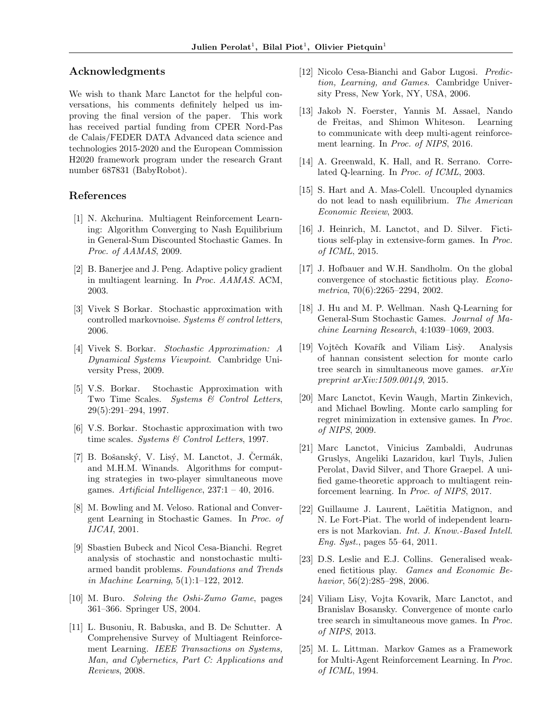#### Acknowledgments

We wish to thank Marc Lanctot for the helpful conversations, his comments definitely helped us improving the final version of the paper. This work has received partial funding from CPER Nord-Pas de Calais/FEDER DATA Advanced data science and technologies 2015-2020 and the European Commission H2020 framework program under the research Grant number 687831 (BabyRobot).

#### References

- [1] N. Akchurina. Multiagent Reinforcement Learning: Algorithm Converging to Nash Equilibrium in General-Sum Discounted Stochastic Games. In Proc. of AAMAS, 2009.
- [2] B. Banerjee and J. Peng. Adaptive policy gradient in multiagent learning. In Proc. AAMAS. ACM, 2003.
- [3] Vivek S Borkar. Stochastic approximation with controlled markovnoise. Systems  $\mathcal C$  control letters, 2006.
- [4] Vivek S. Borkar. Stochastic Approximation: A Dynamical Systems Viewpoint. Cambridge University Press, 2009.
- [5] V.S. Borkar. Stochastic Approximation with Two Time Scales. Systems & Control Letters, 29(5):291–294, 1997.
- [6] V.S. Borkar. Stochastic approximation with two time scales. Systems  $\mathcal C$  Control Letters, 1997.
- $[7]$  B. Bošanský, V. Lisý, M. Lanctot, J. Čermák, and M.H.M. Winands. Algorithms for computing strategies in two-player simultaneous move games. Artificial Intelligence,  $237:1 - 40$ ,  $2016$ .
- [8] M. Bowling and M. Veloso. Rational and Convergent Learning in Stochastic Games. In Proc. of IJCAI, 2001.
- [9] Sbastien Bubeck and Nicol Cesa-Bianchi. Regret analysis of stochastic and nonstochastic multiarmed bandit problems. Foundations and Trends in Machine Learning, 5(1):1–122, 2012.
- [10] M. Buro. Solving the Oshi-Zumo Game, pages 361–366. Springer US, 2004.
- [11] L. Busoniu, R. Babuska, and B. De Schutter. A Comprehensive Survey of Multiagent Reinforcement Learning. IEEE Transactions on Systems, Man, and Cybernetics, Part C: Applications and Reviews, 2008.
- [12] Nicolo Cesa-Bianchi and Gabor Lugosi. Prediction, Learning, and Games. Cambridge University Press, New York, NY, USA, 2006.
- [13] Jakob N. Foerster, Yannis M. Assael, Nando de Freitas, and Shimon Whiteson. Learning to communicate with deep multi-agent reinforcement learning. In Proc. of NIPS, 2016.
- [14] A. Greenwald, K. Hall, and R. Serrano. Correlated Q-learning. In Proc. of ICML, 2003.
- [15] S. Hart and A. Mas-Colell. Uncoupled dynamics do not lead to nash equilibrium. The American Economic Review, 2003.
- [16] J. Heinrich, M. Lanctot, and D. Silver. Fictitious self-play in extensive-form games. In Proc. of ICML, 2015.
- [17] J. Hofbauer and W.H. Sandholm. On the global convergence of stochastic fictitious play. Econometrica, 70(6):2265–2294, 2002.
- [18] J. Hu and M. P. Wellman. Nash Q-Learning for General-Sum Stochastic Games. Journal of Machine Learning Research, 4:1039–1069, 2003.
- [19] Vojtěch Kovařík and Viliam Lisy. Analysis of hannan consistent selection for monte carlo tree search in simultaneous move games. arXiv preprint  $arXiv:1509.00149, 2015.$
- [20] Marc Lanctot, Kevin Waugh, Martin Zinkevich, and Michael Bowling. Monte carlo sampling for regret minimization in extensive games. In Proc. of NIPS, 2009.
- [21] Marc Lanctot, Vinicius Zambaldi, Audrunas Gruslys, Angeliki Lazaridou, karl Tuyls, Julien Perolat, David Silver, and Thore Graepel. A unified game-theoretic approach to multiagent reinforcement learning. In Proc. of NIPS, 2017.
- [22] Guillaume J. Laurent, Laëtitia Matignon, and N. Le Fort-Piat. The world of independent learners is not Markovian. Int. J. Know.-Based Intell. Eng. Syst., pages 55–64, 2011.
- [23] D.S. Leslie and E.J. Collins. Generalised weakened fictitious play. Games and Economic Behavior, 56(2):285–298, 2006.
- [24] Viliam Lisy, Vojta Kovarik, Marc Lanctot, and Branislav Bosansky. Convergence of monte carlo tree search in simultaneous move games. In Proc. of NIPS, 2013.
- [25] M. L. Littman. Markov Games as a Framework for Multi-Agent Reinforcement Learning. In Proc. of ICML, 1994.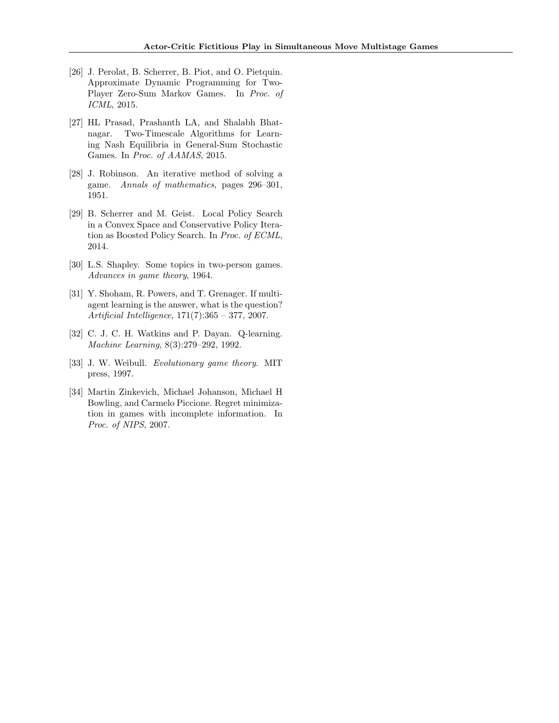- [26] J. Perolat, B. Scherrer, B. Piot, and O. Pietquin. Approximate Dynamic Programming for Two-Player Zero-Sum Markov Games. In Proc. of ICML, 2015.
- [27] HL Prasad, Prashanth LA, and Shalabh Bhatnagar. Two-Timescale Algorithms for Learning Nash Equilibria in General-Sum Stochastic Games. In Proc. of AAMAS, 2015.
- [28] J. Robinson. An iterative method of solving a game. Annals of mathematics, pages 296–301, 1951.
- [29] B. Scherrer and M. Geist. Local Policy Search in a Convex Space and Conservative Policy Iteration as Boosted Policy Search. In Proc. of ECML, 2014.
- [30] L.S. Shapley. Some topics in two-person games. Advances in game theory, 1964.
- [31] Y. Shoham, R. Powers, and T. Grenager. If multiagent learning is the answer, what is the question? Artificial Intelligence, 171(7):365 – 377, 2007.
- [32] C. J. C. H. Watkins and P. Dayan. Q-learning. Machine Learning, 8(3):279–292, 1992.
- [33] J. W. Weibull. Evolutionary game theory. MIT press, 1997.
- [34] Martin Zinkevich, Michael Johanson, Michael H Bowling, and Carmelo Piccione. Regret minimization in games with incomplete information. In Proc. of NIPS, 2007.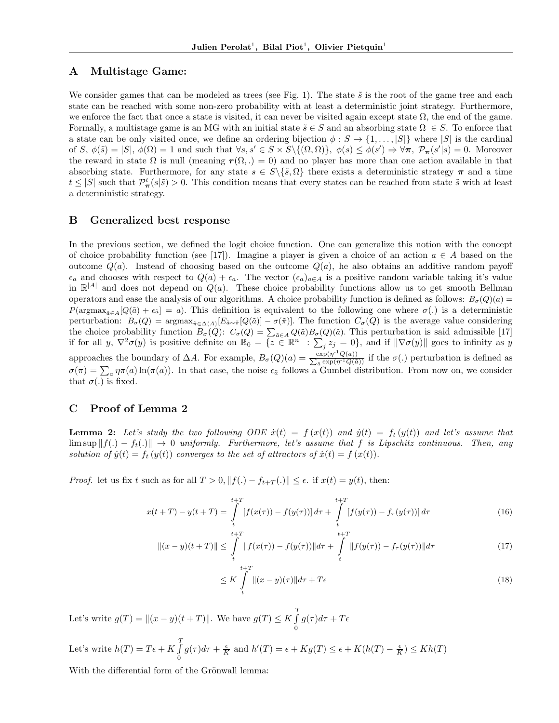#### A Multistage Game:

We consider games that can be modeled as trees (see Fig. 1). The state  $\tilde{s}$  is the root of the game tree and each state can be reached with some non-zero probability with at least a deterministic joint strategy. Furthermore, we enforce the fact that once a state is visited, it can never be visited again except state  $\Omega$ , the end of the game. Formally, a multistage game is an MG with an initial state  $\tilde{s} \in S$  and an absorbing state  $\Omega \in S$ . To enforce that a state can be only visited once, we define an ordering bijection  $\phi : S \to \{1, \ldots, |S|\}$  where  $|S|$  is the cardinal of  $S, \phi(\tilde{s}) = |S|, \phi(\Omega) = 1$  and such that  $\forall s, s' \in S \times S \setminus \{(\Omega, \Omega)\}, \phi(s) \leq \phi(s') \Rightarrow \forall \pi, \mathcal{P}_{\pi}(s'|s) = 0$ . Moreover the reward in state  $\Omega$  is null (meaning  $r(\Omega, .) = 0$ ) and no player has more than one action available in that absorbing state. Furthermore, for any state  $s \in S \setminus \{ \tilde{s}, \Omega \}$  there exists a deterministic strategy  $\pi$  and a time  $t \leq |S|$  such that  $\mathcal{P}_{\pi}^{t}(s|\tilde{s}) > 0$ . This condition means that every states can be reached from state  $\tilde{s}$  with at least a deterministic strategy.

#### B Generalized best response

In the previous section, we defined the logit choice function. One can generalize this notion with the concept of choice probability function (see [17]). Imagine a player is given a choice of an action  $a \in A$  based on the outcome  $Q(a)$ . Instead of choosing based on the outcome  $Q(a)$ , he also obtains an additive random payoff  $\epsilon_a$  and chooses with respect to  $Q(a) + \epsilon_a$ . The vector  $(\epsilon_a)_{a \in A}$  is a positive random variable taking it's value in  $\mathbb{R}^{|A|}$  and does not depend on  $Q(a)$ . These choice probability functions allow us to get smooth Bellman operators and ease the analysis of our algorithms. A choice probability function is defined as follows:  $B_{\sigma}(Q)(a)$ P(argmax<sub> $\tilde{a}\in A[Q(\tilde{a})+\epsilon_{\tilde{a}}]=a$ ). This definition is equivalent to the following one where  $\sigma(.)$  is a deterministic</sub> perturbation:  $B_{\sigma}(Q) = \arg \max_{\tilde{\pi} \in \Delta(A)} [E_{\tilde{a}} \sim \tilde{\pi}[Q(\tilde{a})] - \sigma(\tilde{\pi})].$  The function  $C_{\sigma}(Q)$  is the average value considering the choice probability function  $B_{\sigma}(Q)$ :  $C_{\sigma}(Q) = \sum_{\tilde{a} \in A} Q(\tilde{a}) B_{\sigma}(Q)(\tilde{a})$ . This perturbation is said admissible [17] if for all y,  $\nabla^2 \sigma(y)$  is positive definite on  $\mathbb{R}_0 = \{z \in \mathbb{R}^n : \sum_j z_j = 0\}$ , and if  $\|\nabla \sigma(y)\|$  goes to infinity as y approaches the boundary of  $\Delta A$ . For example,  $B_{\sigma}(Q)(a) = \frac{\exp(\eta^{-1}Q(a))}{\sum_{\tilde{a}} \exp(\eta^{-1}Q(\tilde{a}))}$  $\frac{\exp(\eta - Q(a))}{\frac{a}{\alpha}\exp(\eta^{-1}Q(\tilde{a}))}$  if the  $\sigma(.)$  perturbation is defined as  $\sigma(\pi) = \sum_a \eta \pi(a) \ln(\pi(a))$ . In that case, the noise  $\epsilon_{\tilde{a}}$  follows a Gumbel distribution. From now on, we consider that  $\sigma(.)$  is fixed.

# C Proof of Lemma 2

**Lemma 2:** Let's study the two following ODE  $\dot{x}(t) = f(x(t))$  and  $\dot{y}(t) = f_t(y(t))$  and let's assume that  $\limsup ||f(.) - f_t(.)|| \rightarrow 0$  uniformly. Furthermore, let's assume that f is Lipschitz continuous. Then, any solution of  $\dot{y}(t) = f_t(y(t))$  converges to the set of attractors of  $\dot{x}(t) = f(x(t))$ .

*Proof.* let us fix t such as for all  $T > 0$ ,  $||f(.) - f_{t+T}(.)|| \leq \epsilon$ . if  $x(t) = y(t)$ , then:

$$
x(t+T) - y(t+T) = \int_{t}^{t+T} [f(x(\tau)) - f(y(\tau))] d\tau + \int_{t}^{t+T} [f(y(\tau)) - f_{\tau}(y(\tau))] d\tau
$$
\n(16)

$$
||(x - y)(t + T)|| \leq \int_{t}^{t+T} ||f(x(\tau)) - f(y(\tau))|| d\tau + \int_{t}^{t+T} ||f(y(\tau)) - f_{\tau}(y(\tau))|| d\tau
$$
\n(17)

$$
\leq K \int_{t}^{t+T} \|(x-y)(\tau)\|d\tau + T\epsilon
$$
\n(18)

Let's write  $g(T) = ||(x - y)(t + T)||$ . We have  $g(T) \leq K \int_0^T$ 0  $g(\tau)d\tau+T\epsilon$ 

Let's write  $h(T) = T\epsilon + K \int_0^T$ 0  $g(\tau)d\tau + \frac{\epsilon}{K}$  and  $h'(T) = \epsilon + Kg(T) \leq \epsilon + K(h(T) - \frac{\epsilon}{K}) \leq Kh(T)$ 

With the differential form of the Grönwall lemma: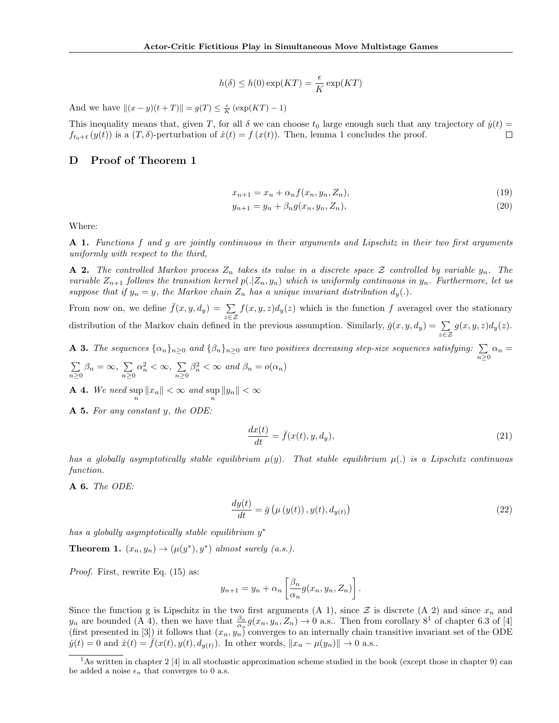$$
h(\delta) \le h(0) \exp(KT) = \frac{\epsilon}{K} \exp(KT)
$$

And we have  $||(x - y)(t + T)|| = g(T) \le \frac{\epsilon}{K} (\exp(KT) - 1)$ 

This inequality means that, given T, for all  $\delta$  we can choose  $t_0$  large enough such that any trajectory of  $\dot{y}(t)$  =  $f_{t_0+t}(y(t))$  is a  $(T, \delta)$ -perturbation of  $\dot{x}(t) = f(x(t))$ . Then, lemma 1 concludes the proof.  $\Box$ 

# D Proof of Theorem 1

$$
x_{n+1} = x_n + \alpha_n f(x_n, y_n, Z_n),
$$
\n(19)

$$
y_{n+1} = y_n + \beta_n g(x_n, y_n, Z_n),
$$
\n(20)

Where:

A 1. Functions f and g are jointly continuous in their arguments and Lipschitz in their two first arguments uniformly with respect to the third,

**A 2.** The controlled Markov process  $Z_n$  takes its value in a discrete space  $\mathcal Z$  controlled by variable  $y_n$ . The variable  $Z_{n+1}$  follows the transition kernel  $p(.|Z_n, y_n)$  which is uniformly continuous in  $y_n$ . Furthermore, let us suppose that if  $y_n = y$ , the Markov chain  $Z_n$  has a unique invariant distribution  $d_y(.)$ .

From now on, we define  $\bar{f}(x, y, dy) = \sum_{z \in \mathcal{Z}} f(x, y, z) d_y(z)$  which is the function f averaged over the stationary distribution of the Markov chain defined in the previous assumption. Similarly,  $\bar{g}(x, y, d_y) = \sum_{z \in \mathcal{Z}} g(x, y, z) d_y(z)$ .

**A 3.** The sequences  $\{\alpha_n\}_{n\geq 0}$  and  $\{\beta_n\}_{n\geq 0}$  are two positives decreasing step-size sequences satisfying:  $\sum_{n\geq 0} \alpha_n =$  $\nabla$  *Q*  $\beta_n = \infty$ ,  $\sum \alpha_n^2 < \infty$ ,  $\sum \beta_n^2 < \infty$  and  $\beta_n = o(\alpha_n)$ 

$$
\sum_{n\geq 0} \beta_n = \infty, \sum_{n\geq 0} \alpha_n^- < \infty, \sum_{n\geq 0} \beta_n^- < \infty \text{ and } \beta_n = o(\alpha_n)
$$

**A** 4. We need  $\sup_{n} ||x_n|| < \infty$  and  $\sup_{n} ||y_n|| < \infty$ 

A 5. For any constant y, the ODE:

$$
\frac{dx(t)}{dt} = \bar{f}(x(t), y, d_y),\tag{21}
$$

has a globally asymptotically stable equilibrium  $\mu(y)$ . That stable equilibrium  $\mu(.)$  is a Lipschitz continuous function.

A 6. The ODE:

$$
\frac{dy(t)}{dt} = \bar{g}\left(\mu\left(y(t)\right), y(t), d_{y(t)}\right) \tag{22}
$$

has a globally asymptotically stable equilibrium  $y^*$ 

**Theorem 1.**  $(x_n, y_n) \rightarrow (\mu(y^*), y^*)$  almost surely (a.s.).

Proof. First, rewrite Eq. (15) as:

$$
y_{n+1} = y_n + \alpha_n \left[ \frac{\beta_n}{\alpha_n} g(x_n, y_n, Z_n) \right].
$$

Since the function g is Lipschitz in the two first arguments (A 1), since  $\mathcal Z$  is discrete (A 2) and since  $x_n$  and  $y_n$  are bounded (A 4), then we have that  $\frac{\beta_n}{\alpha_n}g(x_n, y_n, Z_n) \to 0$  a.s.. Then from corollary  $8^1$  of chapter 6.3 of [4] (first presented in [3]) it follows that  $(x_n, y_n)$  converges to an internally chain transitive invariant set of the ODE  $\dot{y}(t) = 0$  and  $\dot{x}(t) = \bar{f}(x(t), y(t), d_{y(t)})$ . In other words,  $||x_n - \mu(y_n)|| \to 0$  a.s..

<sup>&</sup>lt;sup>1</sup>As written in chapter 2 [4] in all stochastic approximation scheme studied in the book (except those in chapter 9) can be added a noise  $\epsilon_n$  that converges to 0 a.s.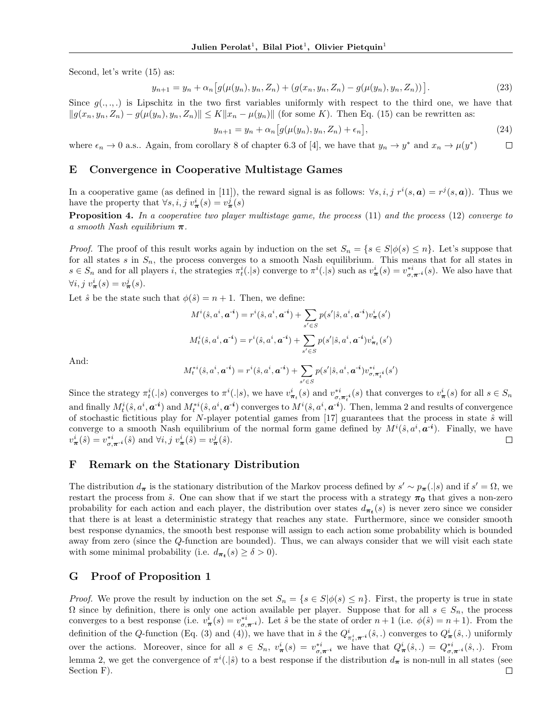Second, let's write (15) as:

$$
y_{n+1} = y_n + \alpha_n \big[ g(\mu(y_n), y_n, Z_n) + (g(x_n, y_n, Z_n) - g(\mu(y_n), y_n, Z_n)) \big]. \tag{23}
$$

Since  $g(.,.,.)$  is Lipschitz in the two first variables uniformly with respect to the third one, we have that  $||g(x_n, y_n, Z_n) - g(\mu(y_n), y_n, Z_n)|| \le K||x_n - \mu(y_n)||$  (for some K). Then Eq. (15) can be rewritten as:

$$
y_{n+1} = y_n + \alpha_n \left[ g(\mu(y_n), y_n, Z_n) + \epsilon_n \right],\tag{24}
$$

where  $\epsilon_n \to 0$  a.s.. Again, from corollary 8 of chapter 6.3 of [4], we have that  $y_n \to y^*$  and  $x_n \to \mu(y^*)$  $\Box$ 

#### E Convergence in Cooperative Multistage Games

In a cooperative game (as defined in [11]), the reward signal is as follows:  $\forall s, i, j \ r^i(s, a) = r^j(s, a)$ ). Thus we have the property that  $\forall s, i, j \ v_{\pi}^{i}(s) = v_{\pi}^{j}(s)$ 

Proposition 4. In a cooperative two player multistage game, the process (11) and the process (12) converge to a smooth Nash equilibrium  $\pi$ .

*Proof.* The proof of this result works again by induction on the set  $S_n = \{s \in S | \phi(s) \leq n\}$ . Let's suppose that for all states s in  $S_n$ , the process converges to a smooth Nash equilibrium. This means that for all states in  $s \in S_n$  and for all players i, the strategies  $\pi_t^i(.|s)$  converge to  $\pi^i(.|s)$  such as  $v^i_{\pi}(s) = v^{*i}_{\sigma,\pi^{-i}}(s)$ . We also have that  $\forall i, j \ v_{\boldsymbol{\pi}}^i(s) = v_{\boldsymbol{\pi}}^j(s).$ 

Let  $\hat{s}$  be the state such that  $\phi(\hat{s}) = n + 1$ . Then, we define:

$$
\begin{aligned} M^i(\hat{\boldsymbol{s}},\boldsymbol{a}^i,\boldsymbol{a}^{-i}) &= r^i(\hat{\boldsymbol{s}},\boldsymbol{a}^i,\boldsymbol{a}^{-i}) + \sum_{s' \in S} p(s'|\hat{\boldsymbol{s}},\boldsymbol{a}^i,\boldsymbol{a}^{-i}) v^i_{\boldsymbol{\pi}}(s') \\ M^i_t(\hat{\boldsymbol{s}},\boldsymbol{a}^i,\boldsymbol{a}^{-i}) &= r^i(\hat{\boldsymbol{s}},\boldsymbol{a}^i,\boldsymbol{a}^{-i}) + \sum_{s' \in S} p(s'|\hat{\boldsymbol{s}},\boldsymbol{a}^i,\boldsymbol{a}^{-i}) v^i_{\boldsymbol{\pi}_t}(s') \end{aligned}
$$

And:

$$
M_t^{*i}(\hat{s}, a^i, a^{-i}) = r^i(\hat{s}, a^i, a^{-i}) + \sum_{s' \in S} p(s'|\hat{s}, a^i, a^{-i}) v^{*i}_{\sigma, \pi_t^{*i}}(s')
$$

Since the strategy  $\pi_t^i(.|s)$  converges to  $\pi^i(.|s)$ , we have  $v_{\pi_t}^i(s)$  and  $v_{\sigma,\pi_t}^{*i}(s)$  that converges to  $v_{\pi}^i(s)$  for all  $s \in S_n$ and finally  $M_t^i(\hat{s}, a^i, a^{-i})$  and  $M_t^{*i}(\hat{s}, a^i, a^{-i})$  converges to  $M^i(\hat{s}, a^i, a^{-i})$ . Then, lemma 2 and results of convergence of stochastic fictitious play for N-player potential games from  $[17]$  guarantees that the process in state  $\hat{s}$  will converge to a smooth Nash equilibrium of the normal form game defined by  $M^{i}(\hat{s}, a^{i}, a^{-i})$ . Finally, we have  $v_{\pi}^{i}(\hat{s}) = v_{\sigma,\pi^{-i}}^{*i}(\hat{s})$  and  $\forall i, j \ v_{\pi}^{i}(\hat{s}) = v_{\pi}^{j}(\hat{s})$ .  $\Box$ 

#### F Remark on the Stationary Distribution

The distribution  $d_{\pi}$  is the stationary distribution of the Markov process defined by  $s' \sim p_{\pi}(.|s)$  and if  $s' = \Omega$ , we restart the process from  $\tilde{s}$ . One can show that if we start the process with a strategy  $\pi_0$  that gives a non-zero probability for each action and each player, the distribution over states  $d_{\pi_t}(s)$  is never zero since we consider that there is at least a deterministic strategy that reaches any state. Furthermore, since we consider smooth best response dynamics, the smooth best response will assign to each action some probability which is bounded away from zero (since the Q-function are bounded). Thus, we can always consider that we will visit each state with some minimal probability (i.e.  $d_{\pi_t}(s) \geq \delta > 0$ ).

#### G Proof of Proposition 1

*Proof.* We prove the result by induction on the set  $S_n = \{s \in S | \phi(s) \leq n\}$ . First, the property is true in state  $\Omega$  since by definition, there is only one action available per player. Suppose that for all  $s \in S_n$ , the process converges to a best response (i.e.  $v^i_{\pi}(s) = v^{*i}_{\sigma,\pi^{-i}}$ ). Let  $\hat{s}$  be the state of order  $n+1$  (i.e.  $\phi(\hat{s}) = n+1$ ). From the definition of the Q-function (Eq. (3) and (4)), we have that in  $\hat{s}$  the  $Q^i_{\pi^i, \pi^{-i}}(\hat{s},.)$  converges to  $Q^i_{\pi}(\hat{s},.)$  uniformly over the actions. Moreover, since for all  $s \in S_n$ ,  $v^i_{\pi}(s) = v^{*i}_{\sigma,\pi^{-i}}$  we have that  $Q^i_{\pi}(s,.) = Q^{*i}_{\sigma,\pi^{-i}}(\hat{s},.)$ . From lemma 2, we get the convergence of  $\pi^{i}(.|\hat{s})$  to a best response if the distribution  $d_{\pi}$  is non-null in all states (see Section F). $\Box$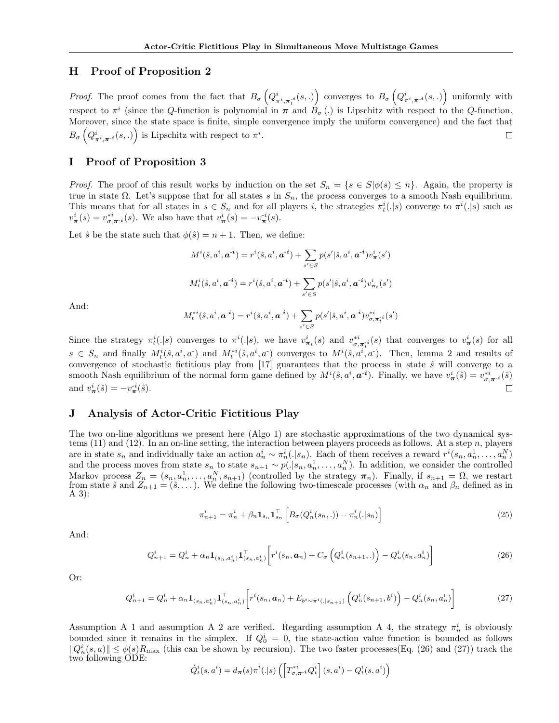#### H Proof of Proposition 2

*Proof.* The proof comes from the fact that  $B_{\sigma}\left(Q_{\pi^i, \pi_i^{*i}}^{i}(s,.)\right)$  converges to  $B_{\sigma}\left(Q_{\pi^i, \pi_i^{*i}}^{i}(s,.)\right)$  uniformly with respect to  $\pi^i$  (since the Q-function is polynomial in  $\pi$  and  $B_{\sigma}$ ) is Lipschitz with respect to the Q-function. Moreover, since the state space is finite, simple convergence imply the uniform convergence) and the fact that  $B_{\sigma}\left(Q_{\pi^{i}, \boldsymbol{\pi}^{-i}}^{i}(s,.)\right)$  is Lipschitz with respect to  $\pi^{i}$ .  $\Box$ 

# I Proof of Proposition 3

*Proof.* The proof of this result works by induction on the set  $S_n = \{s \in S | \phi(s) \leq n\}$ . Again, the property is true in state  $\Omega$ . Let's suppose that for all states s in  $S_n$ , the process converges to a smooth Nash equilibrium. This means that for all states in  $s \in S_n$  and for all players i, the strategies  $\pi_t^i(.|s)$  converge to  $\pi^i(.|s)$  such as  $v_{\pi}^{i}(s) = v_{\sigma,\pi^{-i}}^{*i}(s)$ . We also have that  $v_{\pi}^{i}(s) = -v_{\pi}^{-i}(s)$ .

Let  $\hat{s}$  be the state such that  $\phi(\hat{s}) = n + 1$ . Then, we define:

$$
M^{i}(\hat{s}, a^{i}, \mathbf{a}^{-i}) = r^{i}(\hat{s}, a^{i}, \mathbf{a}^{-i}) + \sum_{s' \in S} p(s' | \hat{s}, a^{i}, \mathbf{a}^{-i}) v_{\pi}^{i}(s')
$$
  

$$
M^{i}_{t}(\hat{s}, a^{i}, \mathbf{a}^{-i}) = r^{i}(\hat{s}, a^{i}, \mathbf{a}^{-i}) + \sum_{s' \in S} p(s' | \hat{s}, a^{i}, \mathbf{a}^{-i}) v_{\pi_{t}}^{i}(s')
$$

And:

$$
M_t^{*i}(\hat{s}, a^i, a^{-i}) = r^i(\hat{s}, a^i, a^{-i}) + \sum_{s' \in S} p(s'|\hat{s}, a^i, a^{-i}) v^{*i}_{\sigma, \pi_t^{*i}}(s')
$$

Since the strategy  $\pi_i^i(.|s)$  converges to  $\pi^i(.|s)$ , we have  $v_{\pi_i}^i(s)$  and  $v_{\sigma,\pi_i}^{*i}(s)$  that converges to  $v_{\pi}^i(s)$  for all  $s \in S_n$  and finally  $M_t^i(\hat{s}, a^i, a^-)$  and  $M_t^{*i}(\hat{s}, a^i, a^-)$  converges to  $M^i(\hat{s}, a^i, a^-)$ . Then, lemma 2 and results of convergence of stochastic fictitious play from  $[17]$  guarantees that the process in state  $\hat{s}$  will converge to a smooth Nash equilibrium of the normal form game defined by  $M^i(\hat{s}, a^i, a^{-i})$ . Finally, we have  $v^i_{\pi}(\hat{s}) = v^{*i}_{\sigma,\pi^{-i}}(\hat{s})$ and  $v^i_{\pi}(\hat{s}) = -v^{i}_{\pi}(\hat{s})$ .

#### J Analysis of Actor-Critic Fictitious Play

The two on-line algorithms we present here (Algo 1) are stochastic approximations of the two dynamical systems  $(11)$  and  $(12)$ . In an on-line setting, the interaction between players proceeds as follows. At a step n, players are in state  $s_n$  and individually take an action  $a_n^i \sim \pi_n^i(.|s_n)$ . Each of them receives a reward  $r^i(s_n, a_n^1, \ldots, a_n^N)$ and the process moves from state  $s_n$  to state  $s_{n+1} \sim p(.|s_n, a_n^1, \ldots, a_n^N)$ . In addition, we consider the controlled Markov process  $Z_n = (s_n, a_n^1, \ldots, a_n^N, s_{n+1})$  (controlled by the strategy  $\pi_n$ ). Finally, if  $s_{n+1} = \Omega$ , we restart from state  $\tilde{s}$  and  $Z_{n+1} = (\tilde{s}, \ldots)$ . We define the following two-timescale processes (with  $\alpha_n$  and  $\beta_n$  defined as in A 3):

$$
\pi_{n+1}^i = \pi_n^i + \beta_n \mathbf{1}_{s_n} \mathbf{1}_{s_n}^\top \left[ B_\sigma(Q_n^i(s_n, .)) - \pi_n^i(.|s_n) \right] \tag{25}
$$

And:

$$
Q_{n+1}^{i} = Q_{n}^{i} + \alpha_{n} \mathbf{1}_{(s_{n}, a_{n}^{i})} \mathbf{1}_{(s_{n}, a_{n}^{i})}^{\top} \left[ r^{i}(s_{n}, \mathbf{a}_{n}) + C_{\sigma} \left( Q_{n}^{i}(s_{n+1},.) \right) - Q_{n}^{i}(s_{n}, a_{n}^{i}) \right]
$$
(26)

Or:

$$
Q_{n+1}^i = Q_n^i + \alpha_n \mathbf{1}_{(s_n, a_n^i)} \mathbf{1}_{(s_n, a_n^i)}^{\mathsf{T}} \left[ r^i(s_n, \mathbf{a}_n) + E_{b^i \sim \pi^i(.|s_{n+1})} \left( Q_n^i(s_{n+1}, b^i) \right) - Q_n^i(s_n, a_n^i) \right]
$$
(27)

Assumption A 1 and assumption A 2 are verified. Regarding assumption A 4, the strategy  $\pi_n^i$  is obviously bounded since it remains in the simplex. If  $Q_0^i = 0$ , the state-action value function is bounded as follows  $||Q_n^i(s,a)|| \leq \phi(s)R_{\text{max}}$  (this can be shown by recursion). The two faster processes(Eq. (26) and (27)) track the two following ODE:

$$
\dot{Q}_t^i(s,a^i) = d_{\boldsymbol{\pi}}(s)\pi^i(.|s)\left(\left[T_{\sigma,\boldsymbol{\pi}^{-i}}^{\ast i}Q_t^i\right](s,a^i) - Q_t^i(s,a^i)\right)
$$